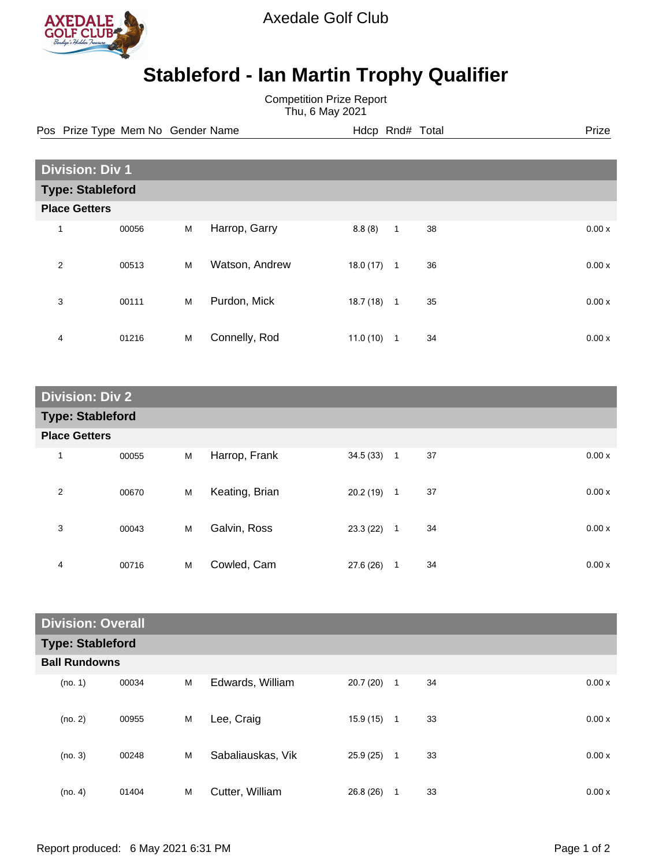

Axedale Golf Club

## **Stableford - Ian Martin Trophy Qualifier**

Competition Prize Report Thu, 6 May 2021

Pos Prize Type Mem No Gender Name **Hdcp Rnd# Total** Prize Prize

| <b>Division: Div 1</b>  |       |   |                |          |                |    |  |       |
|-------------------------|-------|---|----------------|----------|----------------|----|--|-------|
| <b>Type: Stableford</b> |       |   |                |          |                |    |  |       |
| <b>Place Getters</b>    |       |   |                |          |                |    |  |       |
| $\mathbf{1}$            | 00056 | M | Harrop, Garry  | 8.8(8)   | $\mathbf{1}$   | 38 |  | 0.00x |
| 2                       | 00513 | M | Watson, Andrew | 18.0(17) | $\overline{1}$ | 36 |  | 0.00x |
| 3                       | 00111 | M | Purdon, Mick   | 18.7(18) | $\overline{1}$ | 35 |  | 0.00x |
| 4                       | 01216 | M | Connelly, Rod  | 11.0(10) | 1              | 34 |  | 0.00x |

| <b>Division: Div 2</b>  |       |   |                |              |                |    |       |
|-------------------------|-------|---|----------------|--------------|----------------|----|-------|
| <b>Type: Stableford</b> |       |   |                |              |                |    |       |
| <b>Place Getters</b>    |       |   |                |              |                |    |       |
| 1                       | 00055 | M | Harrop, Frank  | $34.5(33)$ 1 |                | 37 | 0.00x |
| 2                       | 00670 | M | Keating, Brian | 20.2(19)     | $\overline{1}$ | 37 | 0.00x |
| 3                       | 00043 | M | Galvin, Ross   | 23.3(22)     | $\overline{1}$ | 34 | 0.00x |
| 4                       | 00716 | M | Cowled, Cam    | 27.6 (26)    | 1              | 34 | 0.00x |

| <b>Division: Overall</b> |       |   |                   |          |              |    |       |
|--------------------------|-------|---|-------------------|----------|--------------|----|-------|
| <b>Type: Stableford</b>  |       |   |                   |          |              |    |       |
| <b>Ball Rundowns</b>     |       |   |                   |          |              |    |       |
| (no. 1)                  | 00034 | M | Edwards, William  | 20.7(20) | $\mathbf{1}$ | 34 | 0.00x |
| (no. 2)                  | 00955 | M | Lee, Craig        | 15.9(15) | 1            | 33 | 0.00x |
| (no. 3)                  | 00248 | M | Sabaliauskas, Vik | 25.9(25) | $\mathbf{1}$ | 33 | 0.00x |
| (no. 4)                  | 01404 | M | Cutter, William   | 26.8(26) | 1            | 33 | 0.00x |